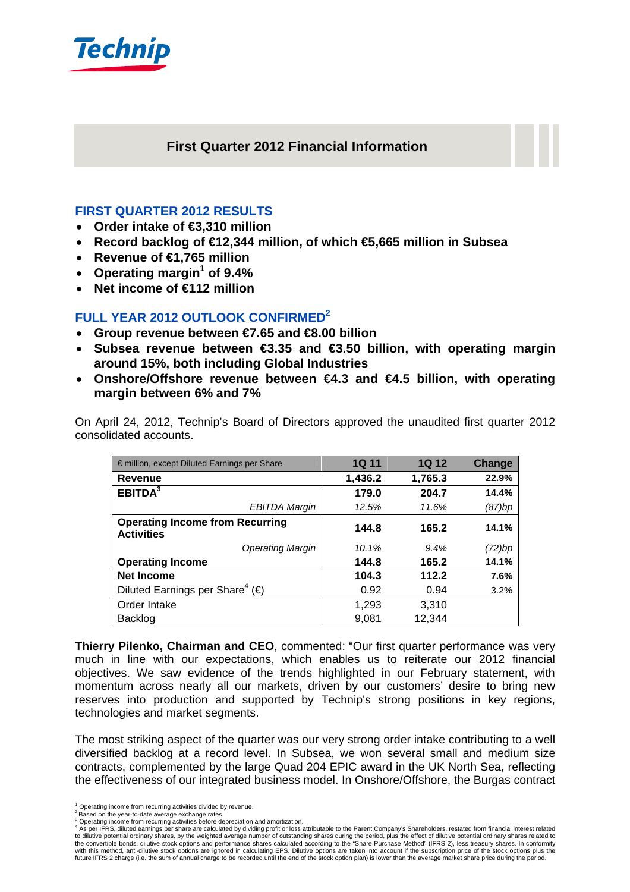

#### **Technip… First Quarter 2012 Financial Information**

### **FIRST QUARTER 2012 RESULTS**

- **Order intake of €3,310 million**
- **Record backlog of €12,344 million, of which €5,665 million in Subsea**
- **Revenue of €1,765 million**
- **•** Operating margin<sup>1</sup> of 9.4%
- **Net income of €112 million**

## **FULL YEAR 2012 OUTLOOK CONFIRMED2**

- **Group revenue between €7.65 and €8.00 billion**
- **Subsea revenue between €3.35 and €3.50 billion, with operating margin around 15%, both including Global Industries**
- **Onshore/Offshore revenue between €4.3 and €4.5 billion, with operating margin between 6% and 7%**

On April 24, 2012, Technip's Board of Directors approved the unaudited first quarter 2012 consolidated accounts.

| € million, except Diluted Earnings per Share                | <b>1Q 11</b> | <b>1Q 12</b> | <b>Change</b> |
|-------------------------------------------------------------|--------------|--------------|---------------|
| <b>Revenue</b>                                              | 1,436.2      | 1,765.3      | 22.9%         |
| EBITDA <sup>3</sup>                                         | 179.0        | 204.7        | 14.4%         |
| <b>EBITDA Margin</b>                                        | 12.5%        | 11.6%        | (87)bp        |
| <b>Operating Income from Recurring</b><br><b>Activities</b> | 144.8        | 165.2        | 14.1%         |
| <b>Operating Margin</b>                                     | 10.1%        | 9.4%         | (72)bp        |
| <b>Operating Income</b>                                     | 144.8        | 165.2        | 14.1%         |
| <b>Net Income</b>                                           | 104.3        | 112.2        | 7.6%          |
| Diluted Earnings per Share <sup>4</sup> ( $\in$ )           | 0.92         | 0.94         | 3.2%          |
| Order Intake                                                | 1,293        | 3,310        |               |
| <b>Backlog</b>                                              | 9,081        | 12,344       |               |

**Thierry Pilenko, Chairman and CEO**, commented: "Our first quarter performance was very much in line with our expectations, which enables us to reiterate our 2012 financial objectives. We saw evidence of the trends highlighted in our February statement, with momentum across nearly all our markets, driven by our customers' desire to bring new reserves into production and supported by Technip's strong positions in key regions, technologies and market segments.

The most striking aspect of the quarter was our very strong order intake contributing to a well diversified backlog at a record level. In Subsea, we won several small and medium size contracts, complemented by the large Quad 204 EPIC award in the UK North Sea, reflecting the effectiveness of our integrated business model. In Onshore/Offshore, the Burgas contract

- <sup>1</sup> Operating income from recurring activities divided by revenue.
- $\frac{2}{3}$  Based on the year-to-date average exchange rates.
- Operating income from recurring activities before depreciation and amortization.

<sup>&</sup>lt;sup>4</sup> As per IFRS, diluted earnings per share are calculated by dividing profit or loss attributable to the Parent Company's Shareholders, restated from financial interest related to dilutive potential ordinary shares, by the weighted average number of outstanding shares during the period, plus the effect of dilutive potential ordinary shares related to<br>the convertible bonds, dilutive stock options with this method, anti-dilutive stock options are ignored in calculating EPS. Dilutive options are taken into account if the subscription price of the stock options plus the future IFRS 2 charge (i.e. the sum of annual charge to be recorded until the end of the stock option plan) is lower than the average market share price during the period.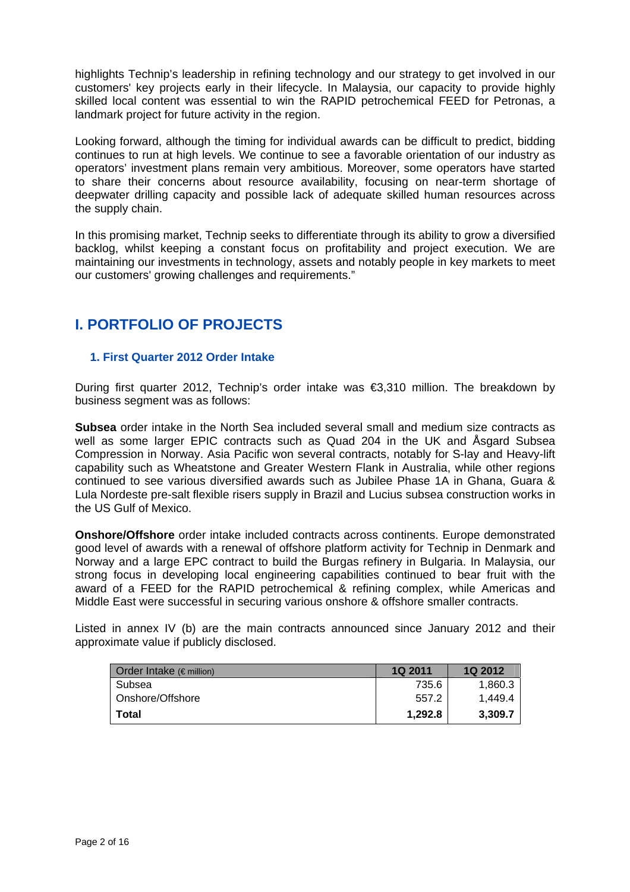**Press Release** highlights Technip's leadership in refining technology and our strategy to get involved in our customers' key projects early in their lifecycle. In Malaysia, our capacity to provide highly skilled local content was essential to win the RAPID petrochemical FEED for Petronas, a landmark project for future activity in the region.

Looking forward, although the timing for individual awards can be difficult to predict, bidding continues to run at high levels. We continue to see a favorable orientation of our industry as operators' investment plans remain very ambitious. Moreover, some operators have started to share their concerns about resource availability, focusing on near-term shortage of deepwater drilling capacity and possible lack of adequate skilled human resources across the supply chain.

In this promising market, Technip seeks to differentiate through its ability to grow a diversified backlog, whilst keeping a constant focus on profitability and project execution. We are maintaining our investments in technology, assets and notably people in key markets to meet our customers' growing challenges and requirements."

# **I. PORTFOLIO OF PROJECTS**

#### **1. First Quarter 2012 Order Intake**

During first quarter 2012, Technip's order intake was €3,310 million. The breakdown by business segment was as follows:

**Subsea** order intake in the North Sea included several small and medium size contracts as well as some larger EPIC contracts such as Quad 204 in the UK and Åsgard Subsea Compression in Norway. Asia Pacific won several contracts, notably for S-lay and Heavy-lift capability such as Wheatstone and Greater Western Flank in Australia, while other regions continued to see various diversified awards such as Jubilee Phase 1A in Ghana, Guara & Lula Nordeste pre-salt flexible risers supply in Brazil and Lucius subsea construction works in the US Gulf of Mexico.

**Onshore/Offshore** order intake included contracts across continents. Europe demonstrated good level of awards with a renewal of offshore platform activity for Technip in Denmark and Norway and a large EPC contract to build the Burgas refinery in Bulgaria. In Malaysia, our strong focus in developing local engineering capabilities continued to bear fruit with the award of a FEED for the RAPID petrochemical & refining complex, while Americas and Middle East were successful in securing various onshore & offshore smaller contracts.

Listed in annex IV (b) are the main contracts announced since January 2012 and their approximate value if publicly disclosed.

| <b>Order Intake (€ million)</b> | <b>1Q 2011</b> | 1Q 2012 |
|---------------------------------|----------------|---------|
| Subsea                          | 735.6          | 1,860.3 |
| Onshore/Offshore                | 557.2          | 1.449.4 |
| Total                           | 1.292.8        | 3,309.7 |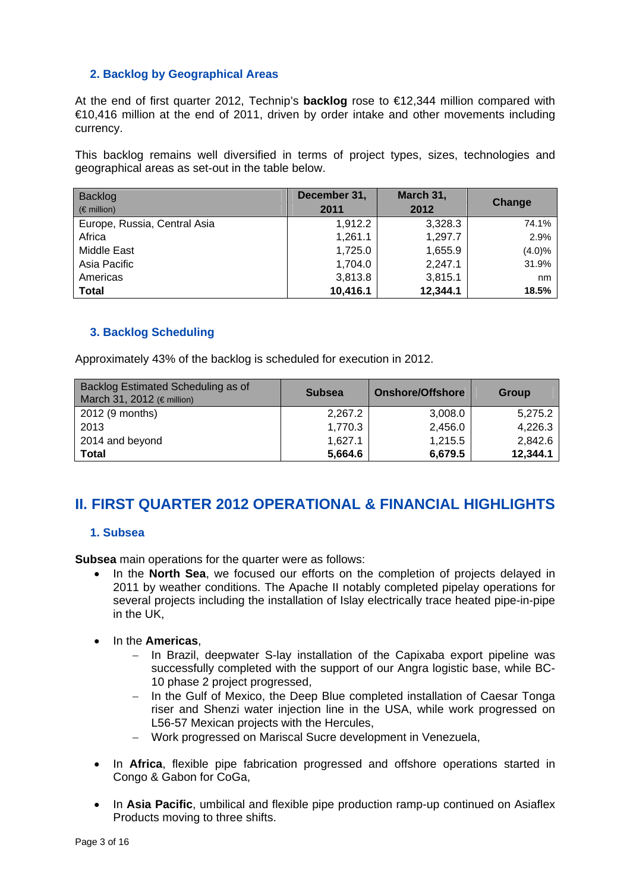#### **2. Backlog by Geographical Areas**

At the end of first quarter 2012, Technip's **backlog** rose to €12,344 million compared with €10,416 million at the end of 2011, driven by order intake and other movements including currency.

This backlog remains well diversified in terms of project types, sizes, technologies and geographical areas as set-out in the table below.

| Backlog                      | December 31, | March 31, | Change    |
|------------------------------|--------------|-----------|-----------|
| $\epsilon$ million)          | 2011         | 2012      |           |
| Europe, Russia, Central Asia | 1,912.2      | 3,328.3   | 74.1%     |
| Africa                       | 1,261.1      | 1,297.7   | 2.9%      |
| Middle East                  | 1,725.0      | 1,655.9   | $(4.0)\%$ |
| Asia Pacific                 | 1,704.0      | 2.247.1   | 31.9%     |
| Americas                     | 3,813.8      | 3,815.1   | nm        |
| <b>Total</b>                 | 10,416.1     | 12,344.1  | 18.5%     |

#### **3. Backlog Scheduling**

Approximately 43% of the backlog is scheduled for execution in 2012.

| Backlog Estimated Scheduling as of<br>March 31, 2012 $(\epsilon$ million) | <b>Subsea</b> | <b>Onshore/Offshore</b> | Group    |
|---------------------------------------------------------------------------|---------------|-------------------------|----------|
| 2012 (9 months)                                                           | 2,267.2       | 3,008.0                 | 5,275.2  |
| 2013                                                                      | 1,770.3       | 2,456.0                 | 4,226.3  |
| 2014 and beyond                                                           | 1.627.1       | 1,215.5                 | 2,842.6  |
| <b>Total</b>                                                              | 5,664.6       | 6,679.5                 | 12,344.1 |

## **II. FIRST QUARTER 2012 OPERATIONAL & FINANCIAL HIGHLIGHTS**

#### **1. Subsea**

**Subsea** main operations for the quarter were as follows:

- In the **North Sea**, we focused our efforts on the completion of projects delayed in 2011 by weather conditions. The Apache II notably completed pipelay operations for several projects including the installation of Islay electrically trace heated pipe-in-pipe in the UK,
- In the **Americas**,
	- − In Brazil, deepwater S-lay installation of the Capixaba export pipeline was successfully completed with the support of our Angra logistic base, while BC-10 phase 2 project progressed,
	- − In the Gulf of Mexico, the Deep Blue completed installation of Caesar Tonga riser and Shenzi water injection line in the USA, while work progressed on L56-57 Mexican projects with the Hercules,
	- − Work progressed on Mariscal Sucre development in Venezuela,
- In **Africa**, flexible pipe fabrication progressed and offshore operations started in Congo & Gabon for CoGa,
- In **Asia Pacific**, umbilical and flexible pipe production ramp-up continued on Asiaflex Products moving to three shifts.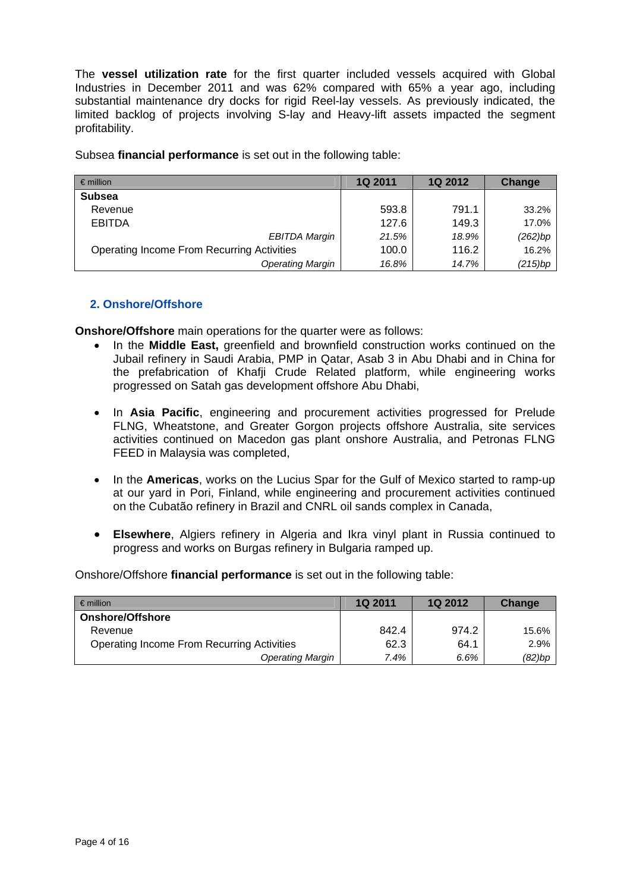The **vessel utilization rate** for the first quarter included vessels acquired with Global Industries in December 2011 and was 62% compared with 65% a year ago, including substantial maintenance dry docks for rigid Reel-lay vessels. As previously indicated, the limited backlog of projects involving S-lay and Heavy-lift assets impacted the segment profitability.

| Subsea financial performance is set out in the following table: |  |
|-----------------------------------------------------------------|--|
|-----------------------------------------------------------------|--|

| $\epsilon$ million                                | 1Q 2011 | <b>1Q 2012</b> | Change  |
|---------------------------------------------------|---------|----------------|---------|
| <b>Subsea</b>                                     |         |                |         |
| Revenue                                           | 593.8   | 791.1          | 33.2%   |
| <b>EBITDA</b>                                     | 127.6   | 149.3          | 17.0%   |
| EBITDA Margin                                     | 21.5%   | 18.9%          | (262)bp |
| <b>Operating Income From Recurring Activities</b> | 100.0   | 116.2          | 16.2%   |
| <b>Operating Margin</b>                           | 16.8%   | 14.7%          | (215)bp |

#### **2. Onshore/Offshore**

**Onshore/Offshore** main operations for the quarter were as follows:

- In the **Middle East,** greenfield and brownfield construction works continued on the Jubail refinery in Saudi Arabia, PMP in Qatar, Asab 3 in Abu Dhabi and in China for the prefabrication of Khafji Crude Related platform, while engineering works progressed on Satah gas development offshore Abu Dhabi,
- In **Asia Pacific**, engineering and procurement activities progressed for Prelude FLNG, Wheatstone, and Greater Gorgon projects offshore Australia, site services activities continued on Macedon gas plant onshore Australia, and Petronas FLNG FEED in Malaysia was completed,
- In the **Americas**, works on the Lucius Spar for the Gulf of Mexico started to ramp-up at our yard in Pori, Finland, while engineering and procurement activities continued on the Cubatão refinery in Brazil and CNRL oil sands complex in Canada,
- **Elsewhere**, Algiers refinery in Algeria and Ikra vinyl plant in Russia continued to progress and works on Burgas refinery in Bulgaria ramped up.

Onshore/Offshore **financial performance** is set out in the following table:

| $\epsilon$ million                         | <b>1Q 2011</b> | <b>1Q 2012</b> | Change |
|--------------------------------------------|----------------|----------------|--------|
| <b>Onshore/Offshore</b>                    |                |                |        |
| Revenue                                    | 842.4          | 974.2          | 15.6%  |
| Operating Income From Recurring Activities | 62.3           | 64.1           | 2.9%   |
| <b>Operating Margin</b>                    | 7.4%           | 6.6%           | (82)bp |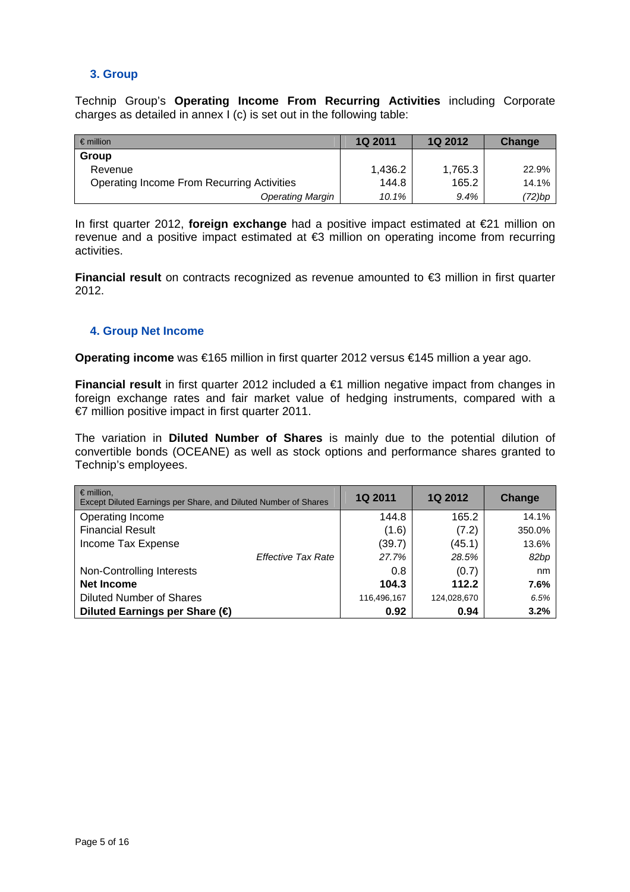#### **3. Group**

Technip Group's **Operating Income From Recurring Activities** including Corporate charges as detailed in annex I (c) is set out in the following table:

| $\epsilon$ million                                | <b>1Q 2011</b> | <b>1Q 2012</b> | Change |
|---------------------------------------------------|----------------|----------------|--------|
| Group                                             |                |                |        |
| Revenue                                           | 1.436.2        | 1,765.3        | 22.9%  |
| <b>Operating Income From Recurring Activities</b> | 144.8          | 165.2          | 14.1%  |
| <b>Operating Margin</b>                           | 10.1%          | 9.4%           | 72)bp  |

In first quarter 2012, **foreign exchange** had a positive impact estimated at €21 million on revenue and a positive impact estimated at €3 million on operating income from recurring activities.

**Financial result** on contracts recognized as revenue amounted to €3 million in first quarter 2012.

#### **4. Group Net Income**

**Operating income** was €165 million in first quarter 2012 versus €145 million a year ago.

**Financial result** in first quarter 2012 included a €1 million negative impact from changes in foreign exchange rates and fair market value of hedging instruments, compared with a €7 million positive impact in first quarter 2011.

The variation in **Diluted Number of Shares** is mainly due to the potential dilution of convertible bonds (OCEANE) as well as stock options and performance shares granted to Technip's employees.

| $\epsilon$ million,<br>Except Diluted Earnings per Share, and Diluted Number of Shares | <b>1Q 2011</b> | <b>1Q 2012</b> | <b>Change</b> |
|----------------------------------------------------------------------------------------|----------------|----------------|---------------|
| Operating Income                                                                       | 144.8          | 165.2          | 14.1%         |
| <b>Financial Result</b>                                                                | (1.6)          | (7.2)          | 350.0%        |
| Income Tax Expense                                                                     | (39.7)         | (45.1)         | 13.6%         |
| <b>Effective Tax Rate</b>                                                              | 27.7%          | 28.5%          | 82bp          |
| Non-Controlling Interests                                                              | 0.8            | (0.7)          | nm            |
| <b>Net Income</b>                                                                      | 104.3          | 112.2          | 7.6%          |
| Diluted Number of Shares                                                               | 116,496,167    | 124,028,670    | 6.5%          |
| Diluted Earnings per Share (€                                                          | 0.92           | 0.94           | 3.2%          |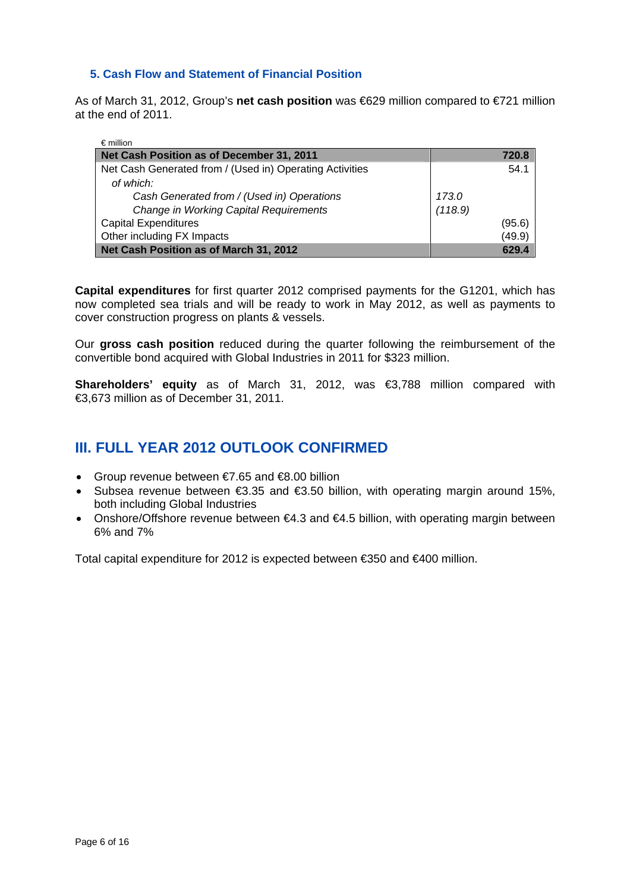#### **5. Cash Flow and Statement of Financial Position**

As of March 31, 2012, Group's **net cash position** was €629 million compared to €721 million at the end of 2011.

| $\epsilon$ million                                       |         |        |
|----------------------------------------------------------|---------|--------|
| Net Cash Position as of December 31, 2011                |         | 720.8  |
| Net Cash Generated from / (Used in) Operating Activities |         | 54.1   |
| of which:                                                |         |        |
| Cash Generated from / (Used in) Operations               | 173.0   |        |
| <b>Change in Working Capital Requirements</b>            | (118.9) |        |
| <b>Capital Expenditures</b>                              |         | (95.6) |
| Other including FX Impacts                               |         | (49.9) |
| Net Cash Position as of March 31, 2012                   |         | 629.4  |

**Capital expenditures** for first quarter 2012 comprised payments for the G1201, which has now completed sea trials and will be ready to work in May 2012, as well as payments to cover construction progress on plants & vessels.

Our **gross cash position** reduced during the quarter following the reimbursement of the convertible bond acquired with Global Industries in 2011 for \$323 million.

**Shareholders' equity** as of March 31, 2012, was €3,788 million compared with €3,673 million as of December 31, 2011.

## **III. FULL YEAR 2012 OUTLOOK CONFIRMED**

- Group revenue between €7.65 and €8.00 billion
- Subsea revenue between €3.35 and €3.50 billion, with operating margin around 15%, both including Global Industries
- Onshore/Offshore revenue between €4.3 and €4.5 billion, with operating margin between 6% and 7%

Total capital expenditure for 2012 is expected between €350 and €400 million.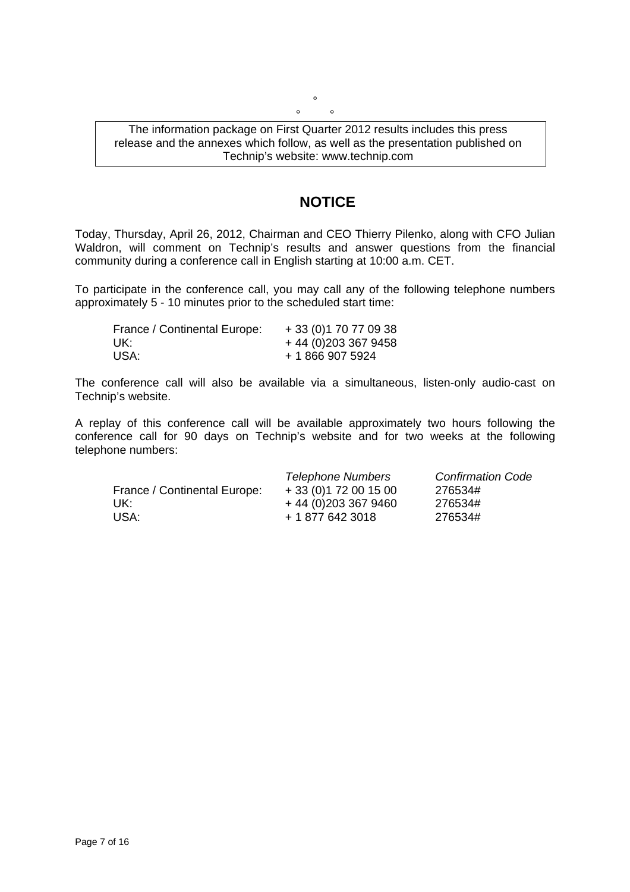°  $\circ$   $\circ$ 

The information package on First Quarter 2012 results includes this press release and the annexes which follow, as well as the presentation published on Technip's website: www.technip.com

## **NOTICE**

Today, Thursday, April 26, 2012, Chairman and CEO Thierry Pilenko, along with CFO Julian Waldron, will comment on Technip's results and answer questions from the financial community during a conference call in English starting at 10:00 a.m. CET.

To participate in the conference call, you may call any of the following telephone numbers approximately 5 - 10 minutes prior to the scheduled start time:

| France / Continental Europe: | + 33 (0) 1 70 77 09 38 |
|------------------------------|------------------------|
| UK:                          | + 44 (0) 203 367 9458  |
| USA:                         | + 1 866 907 5924       |

The conference call will also be available via a simultaneous, listen-only audio-cast on Technip's website.

A replay of this conference call will be available approximately two hours following the conference call for 90 days on Technip's website and for two weeks at the following telephone numbers:

|                              | <b>Telephone Numbers</b> | <b>Confirmation Code</b> |
|------------------------------|--------------------------|--------------------------|
| France / Continental Europe: | + 33 (0) 1 72 00 15 00   | 276534#                  |
| UK:                          | +44 (0) 203 367 9460     | 276534#                  |
| USA:                         | + 1 877 642 3018         | 276534#                  |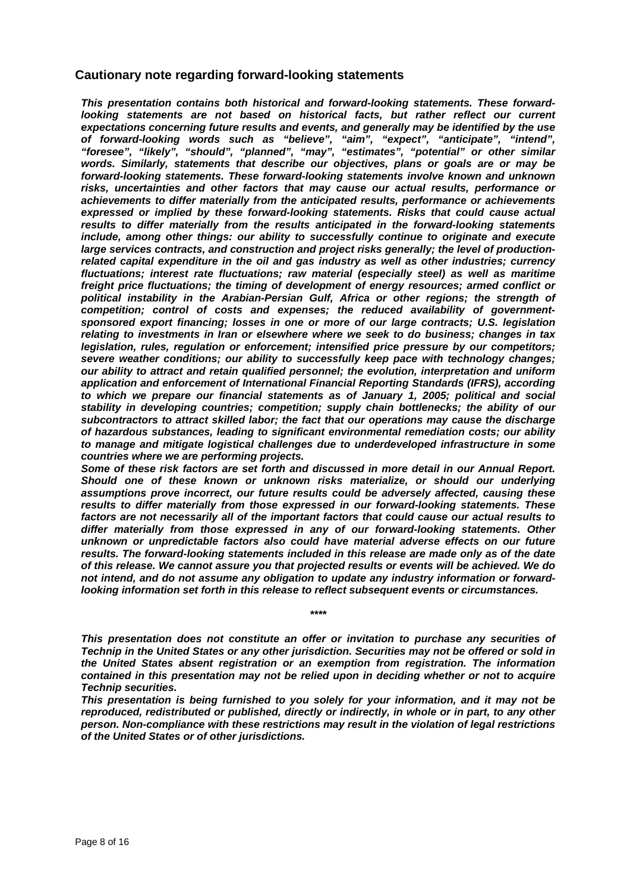#### **Cautionary note regarding forward-looking statements**

*This presentation contains both historical and forward-looking statements. These forward*looking statements are not based on historical facts, but rather reflect our current *expectations concerning future results and events, and generally may be identified by the use of forward-looking words such as "believe", "aim", "expect", "anticipate", "intend", "foresee", "likely", "should", "planned", "may", "estimates", "potential" or other similar words. Similarly, statements that describe our objectives, plans or goals are or may be forward-looking statements. These forward-looking statements involve known and unknown risks, uncertainties and other factors that may cause our actual results, performance or achievements to differ materially from the anticipated results, performance or achievements expressed or implied by these forward-looking statements. Risks that could cause actual results to differ materially from the results anticipated in the forward-looking statements include, among other things: our ability to successfully continue to originate and execute large services contracts, and construction and project risks generally; the level of productionrelated capital expenditure in the oil and gas industry as well as other industries; currency fluctuations; interest rate fluctuations; raw material (especially steel) as well as maritime freight price fluctuations; the timing of development of energy resources; armed conflict or political instability in the Arabian-Persian Gulf, Africa or other regions; the strength of competition; control of costs and expenses; the reduced availability of governmentsponsored export financing; losses in one or more of our large contracts; U.S. legislation relating to investments in Iran or elsewhere where we seek to do business; changes in tax legislation, rules, regulation or enforcement; intensified price pressure by our competitors; severe weather conditions; our ability to successfully keep pace with technology changes; our ability to attract and retain qualified personnel; the evolution, interpretation and uniform application and enforcement of International Financial Reporting Standards (IFRS), according to which we prepare our financial statements as of January 1, 2005; political and social stability in developing countries; competition; supply chain bottlenecks; the ability of our subcontractors to attract skilled labor; the fact that our operations may cause the discharge of hazardous substances, leading to significant environmental remediation costs; our ability to manage and mitigate logistical challenges due to underdeveloped infrastructure in some countries where we are performing projects.* 

*Some of these risk factors are set forth and discussed in more detail in our Annual Report. Should one of these known or unknown risks materialize, or should our underlying assumptions prove incorrect, our future results could be adversely affected, causing these results to differ materially from those expressed in our forward-looking statements. These factors are not necessarily all of the important factors that could cause our actual results to differ materially from those expressed in any of our forward-looking statements. Other unknown or unpredictable factors also could have material adverse effects on our future results. The forward-looking statements included in this release are made only as of the date of this release. We cannot assure you that projected results or events will be achieved. We do not intend, and do not assume any obligation to update any industry information or forwardlooking information set forth in this release to reflect subsequent events or circumstances.* 

*This presentation does not constitute an offer or invitation to purchase any securities of Technip in the United States or any other jurisdiction. Securities may not be offered or sold in the United States absent registration or an exemption from registration. The information contained in this presentation may not be relied upon in deciding whether or not to acquire Technip securities.* 

*\*\*\*\** 

*This presentation is being furnished to you solely for your information, and it may not be reproduced, redistributed or published, directly or indirectly, in whole or in part, to any other person. Non-compliance with these restrictions may result in the violation of legal restrictions of the United States or of other jurisdictions.*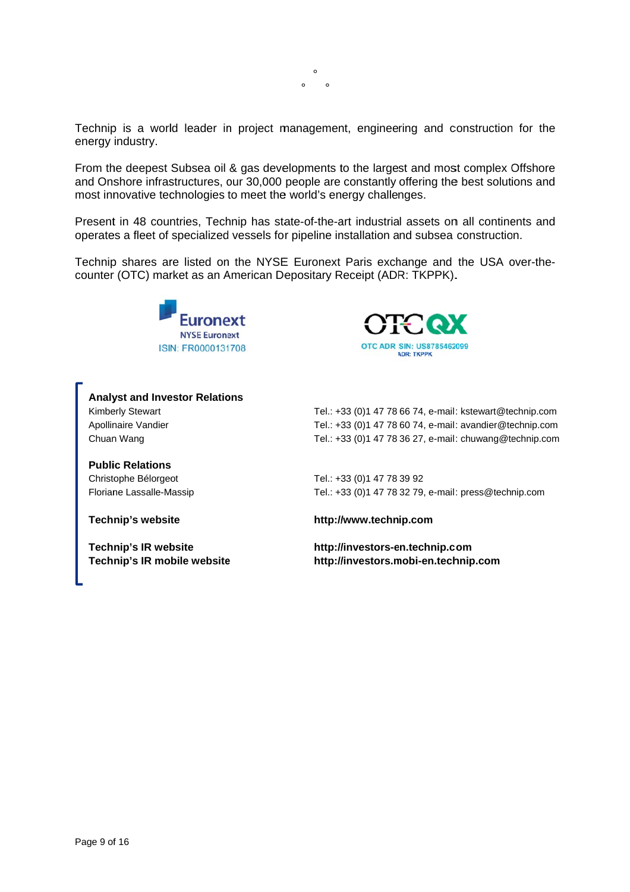Technip is a world leader in project management, engineering and construction for the energy industry.

From the deepest Subsea oil & gas developments to the largest and most complex Offshore and Onshore infrastructures, our 30,000 people are constantly offering the best solutions and most innovative technologies to meet the world's energy challenges. in project manage<br>
I & gas developme<br>
our 30,000 people<br>
to meet the world<sup>?</sup><br>
thnip has state-of-t<br>
d vessels for pipelin<br>
n the NYSE Euror<br>
American Deposita<br>
PAT<br>
ext<br>
1708<br>
ons<br>
T<sub>T</sub><br>
TT<br>
TT<br>
TT<br>
TT<br>
TT<br> **h**<br>
h

Present in 48 countries, Technip has state-of-the-art industrial assets on all continents and operates a fleet of specialized vessels for pipeline installation and subsea construction.

Technip shares are listed on the NYSE Euronext Paris exchange and the USA over-thecounter (OTC) market as an American Depositary Receipt (ADR: TKPPK).





#### **Analyst and Investor Relations**

Kimberly Stewart Apollin naire Vandier Chuan n Wang

Tel.: +3 33 (0)1 47 78 66 74, e-mail : kstewart@te echnip.com Tel.: +3 33 (0)1 47 78 60 74, e-mail : avandier@te echnip.com Tel.: +3 33 (0)1 47 78 36 27, e-mail : chuwang@te echnip.com

**Publi ic Relations** Christophe Bélorgeot Florian ne Lassalle-M Massip

**Tech nip's websit te** 

**Tech nip's IR web bsite Tech nip's IR mo bile website** Tel.: +3 33 (0)1 47 78 39 92 Tel.: +3 33 (0)1 47 78 32 79, e-mail : press@techn nip.com

**http:// /www.techn ip.com** 

**http:// /investors-e en.technip.c com http://investors.mobi-en.technip.com**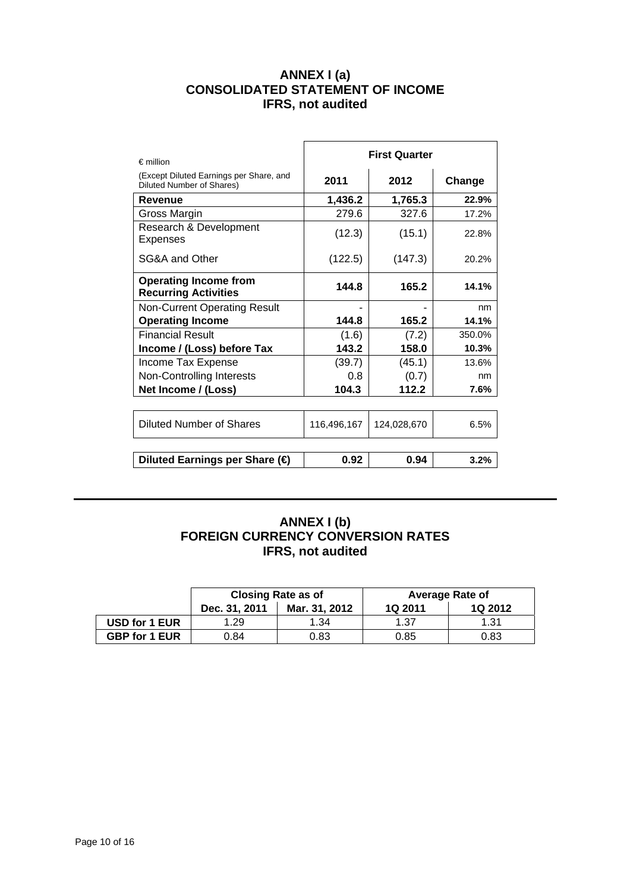# **Press Release ANNEX I (a) CONSOLIDATED STATEMENT OF INCOME IFRS, not audited**

| $\n  emillion\n$                                                            | <b>First Quarter</b> |             |        |
|-----------------------------------------------------------------------------|----------------------|-------------|--------|
| (Except Diluted Earnings per Share, and<br><b>Diluted Number of Shares)</b> | 2011                 | 2012        | Change |
| Revenue                                                                     | 1,436.2              | 1,765.3     | 22.9%  |
| Gross Margin                                                                | 279.6                | 327.6       | 17.2%  |
| Research & Development<br><b>Expenses</b>                                   | (12.3)               | (15.1)      | 22.8%  |
| SG&A and Other                                                              | (122.5)              | (147.3)     | 20.2%  |
| <b>Operating Income from</b><br><b>Recurring Activities</b>                 | 144.8                | 165.2       | 14.1%  |
| <b>Non-Current Operating Result</b>                                         |                      |             | nm     |
| <b>Operating Income</b>                                                     | 144.8                | 165.2       | 14.1%  |
| <b>Financial Result</b>                                                     | (1.6)                | (7.2)       | 350.0% |
| Income / (Loss) before Tax                                                  | 143.2                | 158.0       | 10.3%  |
| Income Tax Expense                                                          | (39.7)               | (45.1)      | 13.6%  |
| Non-Controlling Interests                                                   | 0.8                  | (0.7)       | nm     |
| Net Income / (Loss)                                                         | 104.3                | 112.2       | 7.6%   |
|                                                                             |                      |             |        |
| <b>Diluted Number of Shares</b>                                             | 116,496,167          | 124,028,670 | 6.5%   |
|                                                                             |                      |             |        |
| Diluted Earnings per Share (€)                                              | 0.92                 | 0.94        | 3.2%   |

### **ANNEX I (b) FOREIGN CURRENCY CONVERSION RATES IFRS, not audited**

|                      | <b>Closing Rate as of</b> |               | Average Rate of |                |
|----------------------|---------------------------|---------------|-----------------|----------------|
|                      | Dec. 31, 2011             | Mar. 31, 2012 | <b>1Q 2011</b>  | <b>1Q 2012</b> |
| USD for 1 EUR        | 1.29                      | 1.34          | 1.37            | 1.31           |
| <b>GBP for 1 EUR</b> | 0.84                      | 0.83          | 0.85            | 0.83           |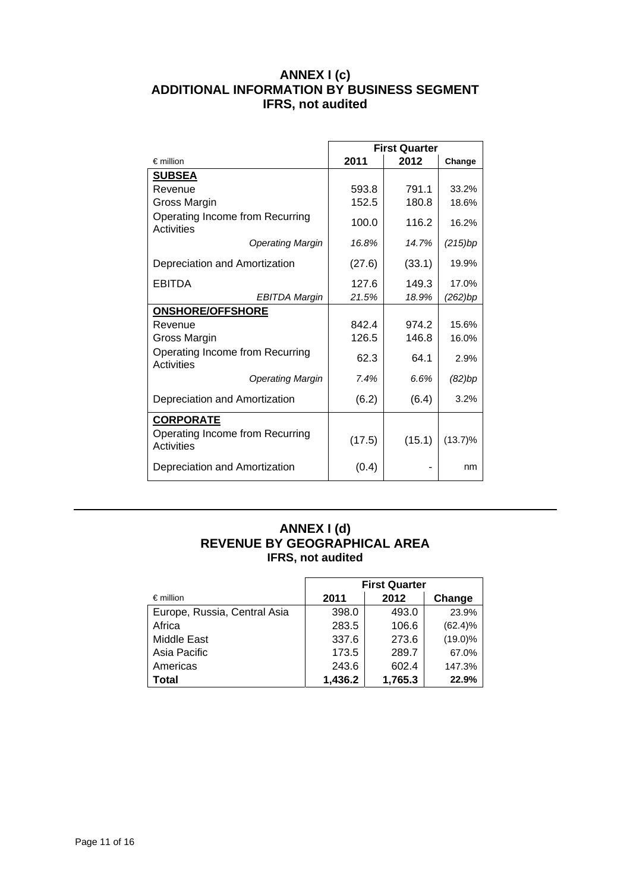# **Press Release ANNEX I (c) ADDITIONAL INFORMATION BY BUSINESS SEGMENT IFRS, not audited**

|                                                      | <b>First Quarter</b> |        |            |
|------------------------------------------------------|----------------------|--------|------------|
| $\epsilon$ million                                   | 2011                 | 2012   | Change     |
| <b>SUBSEA</b>                                        |                      |        |            |
| Revenue                                              | 593.8                | 791.1  | 33.2%      |
| Gross Margin                                         | 152.5                | 180.8  | 18.6%      |
| Operating Income from Recurring<br><b>Activities</b> | 100.0                | 116.2  | 16.2%      |
| <b>Operating Margin</b>                              | 16.8%                | 14.7%  | (215)bp    |
| Depreciation and Amortization                        | (27.6)               | (33.1) | 19.9%      |
| <b>EBITDA</b>                                        | 127.6                | 149.3  | 17.0%      |
| <b>EBITDA Margin</b>                                 | 21.5%                | 18.9%  | (262)bp    |
| <b>ONSHORE/OFFSHORE</b>                              |                      |        |            |
| Revenue                                              | 842.4                | 974.2  | 15.6%      |
| Gross Margin                                         | 126.5                | 146.8  | 16.0%      |
| Operating Income from Recurring<br>Activities        | 62.3                 | 64.1   | 2.9%       |
| <b>Operating Margin</b>                              | 7.4%                 | 6.6%   | (82)bp     |
| Depreciation and Amortization                        | (6.2)                | (6.4)  | 3.2%       |
| <b>CORPORATE</b>                                     |                      |        |            |
| Operating Income from Recurring<br>Activities        | (17.5)               | (15.1) | $(13.7)\%$ |
| Depreciation and Amortization                        | (0.4)                |        | nm         |

### **ANNEX I (d) REVENUE BY GEOGRAPHICAL AREA IFRS, not audited**

|                              | <b>First Quarter</b> |         |            |
|------------------------------|----------------------|---------|------------|
| $\epsilon$ million           | 2011                 | 2012    | Change     |
| Europe, Russia, Central Asia | 398.0                | 493.0   | 23.9%      |
| Africa                       | 283.5                | 106.6   | $(62.4)\%$ |
| Middle East                  | 337.6                | 273.6   | $(19.0)\%$ |
| Asia Pacific                 | 173.5                | 289.7   | 67.0%      |
| Americas                     | 243.6                | 602.4   | 147.3%     |
| Total                        | 1,436.2              | 1,765.3 | 22.9%      |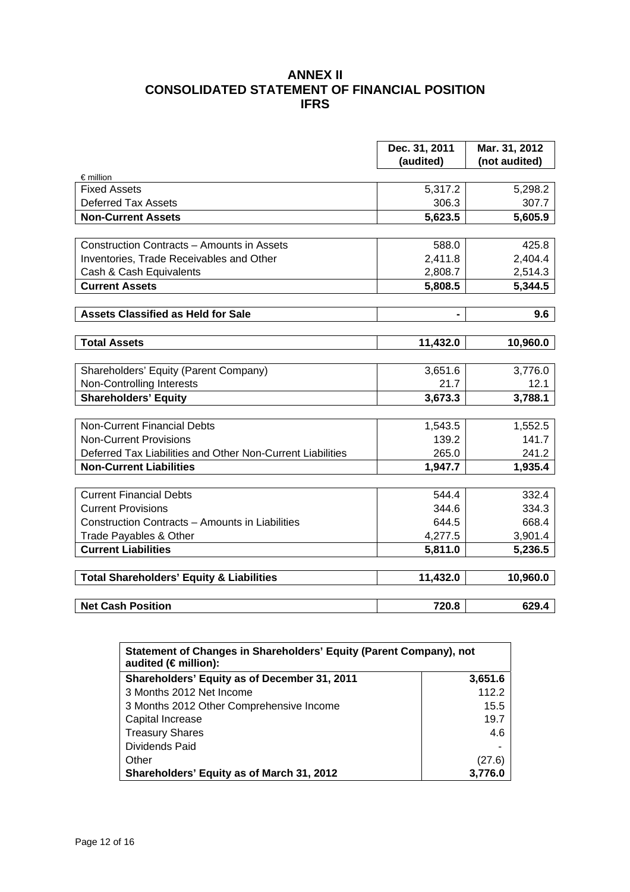## **ANNEX II CONSOLIDATED STATEMENT OF FINANCIAL POSITION IFRS**

|                                                            | Dec. 31, 2011 | Mar. 31, 2012 |
|------------------------------------------------------------|---------------|---------------|
|                                                            | (audited)     | (not audited) |
| $\epsilon$ million                                         |               |               |
| <b>Fixed Assets</b>                                        | 5,317.2       | 5,298.2       |
| <b>Deferred Tax Assets</b>                                 | 306.3         | 307.7         |
| <b>Non-Current Assets</b>                                  | 5,623.5       | 5,605.9       |
|                                                            |               |               |
| Construction Contracts - Amounts in Assets                 | 588.0         | 425.8         |
| Inventories, Trade Receivables and Other                   | 2,411.8       | 2,404.4       |
| Cash & Cash Equivalents                                    | 2,808.7       | 2,514.3       |
| <b>Current Assets</b>                                      | 5,808.5       | 5,344.5       |
|                                                            |               |               |
| <b>Assets Classified as Held for Sale</b>                  |               | 9.6           |
| <b>Total Assets</b>                                        | 11,432.0      | 10,960.0      |
|                                                            |               |               |
| Shareholders' Equity (Parent Company)                      | 3,651.6       | 3,776.0       |
| Non-Controlling Interests                                  | 21.7          | 12.1          |
| <b>Shareholders' Equity</b>                                | 3,673.3       | 3,788.1       |
|                                                            |               |               |
| <b>Non-Current Financial Debts</b>                         | 1,543.5       | 1,552.5       |
| <b>Non-Current Provisions</b>                              | 139.2         | 141.7         |
| Deferred Tax Liabilities and Other Non-Current Liabilities | 265.0         | 241.2         |
| <b>Non-Current Liabilities</b>                             | 1,947.7       | 1,935.4       |
|                                                            |               |               |
| <b>Current Financial Debts</b>                             | 544.4         | 332.4         |
| <b>Current Provisions</b>                                  | 344.6         | 334.3         |
| Construction Contracts - Amounts in Liabilities            | 644.5         | 668.4         |
| Trade Payables & Other                                     | 4,277.5       | 3,901.4       |
| <b>Current Liabilities</b>                                 | 5,811.0       | 5,236.5       |
| <b>Total Shareholders' Equity &amp; Liabilities</b>        | 11,432.0      | 10,960.0      |
|                                                            |               |               |
| <b>Net Cash Position</b>                                   | 720.8         | 629.4         |

| Shareholders' Equity as of December 31, 2011 | 3,651.6 |
|----------------------------------------------|---------|
| 3 Months 2012 Net Income                     | 112.2   |
| 3 Months 2012 Other Comprehensive Income     | 15.5    |
| Capital Increase                             | 19.7    |
| <b>Treasury Shares</b>                       | 4.6     |
| Dividends Paid                               |         |
| Other                                        | (27.6)  |
| Shareholders' Equity as of March 31, 2012    | 3,776.0 |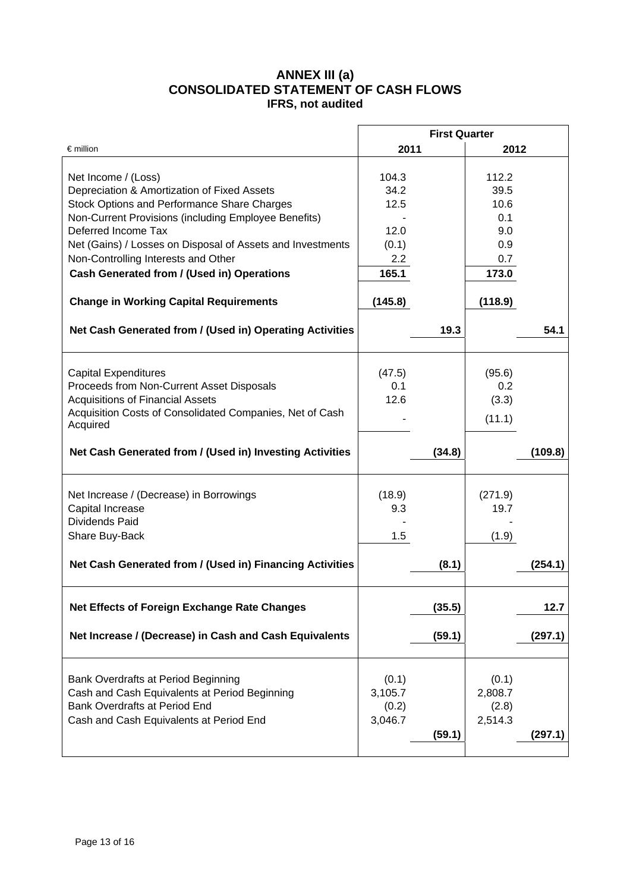# **Press Release ANNEX III (a) CONSOLIDATED STATEMENT OF CASH FLOWS IFRS, not audited**

|                                                                                                                                                                                                                                                                                                                                                                                                                                                                  | <b>First Quarter</b>                                                      |                                                                               |
|------------------------------------------------------------------------------------------------------------------------------------------------------------------------------------------------------------------------------------------------------------------------------------------------------------------------------------------------------------------------------------------------------------------------------------------------------------------|---------------------------------------------------------------------------|-------------------------------------------------------------------------------|
| $\epsilon$ million                                                                                                                                                                                                                                                                                                                                                                                                                                               | 2011                                                                      | 2012                                                                          |
| Net Income / (Loss)<br>Depreciation & Amortization of Fixed Assets<br>Stock Options and Performance Share Charges<br>Non-Current Provisions (including Employee Benefits)<br>Deferred Income Tax<br>Net (Gains) / Losses on Disposal of Assets and Investments<br>Non-Controlling Interests and Other<br>Cash Generated from / (Used in) Operations<br><b>Change in Working Capital Requirements</b><br>Net Cash Generated from / (Used in) Operating Activities | 104.3<br>34.2<br>12.5<br>12.0<br>(0.1)<br>2.2<br>165.1<br>(145.8)<br>19.3 | 112.2<br>39.5<br>10.6<br>0.1<br>9.0<br>0.9<br>0.7<br>173.0<br>(118.9)<br>54.1 |
|                                                                                                                                                                                                                                                                                                                                                                                                                                                                  |                                                                           |                                                                               |
| <b>Capital Expenditures</b><br>Proceeds from Non-Current Asset Disposals<br><b>Acquisitions of Financial Assets</b><br>Acquisition Costs of Consolidated Companies, Net of Cash<br>Acquired                                                                                                                                                                                                                                                                      | (47.5)<br>0.1<br>12.6                                                     | (95.6)<br>0.2<br>(3.3)<br>(11.1)                                              |
| Net Cash Generated from / (Used in) Investing Activities                                                                                                                                                                                                                                                                                                                                                                                                         | (34.8)                                                                    | (109.8)                                                                       |
| Net Increase / (Decrease) in Borrowings<br>Capital Increase<br>Dividends Paid<br>Share Buy-Back<br>Net Cash Generated from / (Used in) Financing Activities                                                                                                                                                                                                                                                                                                      | (18.9)<br>9.3<br>1.5<br>(8.1)                                             | (271.9)<br>19.7<br>(1.9)<br>(254.1)                                           |
|                                                                                                                                                                                                                                                                                                                                                                                                                                                                  |                                                                           |                                                                               |
| Net Effects of Foreign Exchange Rate Changes                                                                                                                                                                                                                                                                                                                                                                                                                     | (35.5)                                                                    | 12.7                                                                          |
| Net Increase / (Decrease) in Cash and Cash Equivalents                                                                                                                                                                                                                                                                                                                                                                                                           | (59.1)                                                                    | (297.1)                                                                       |
| Bank Overdrafts at Period Beginning<br>Cash and Cash Equivalents at Period Beginning<br><b>Bank Overdrafts at Period End</b><br>Cash and Cash Equivalents at Period End                                                                                                                                                                                                                                                                                          | (0.1)<br>3,105.7<br>(0.2)<br>3,046.7<br>(59.1)                            | (0.1)<br>2,808.7<br>(2.8)<br>2,514.3<br>(297.1)                               |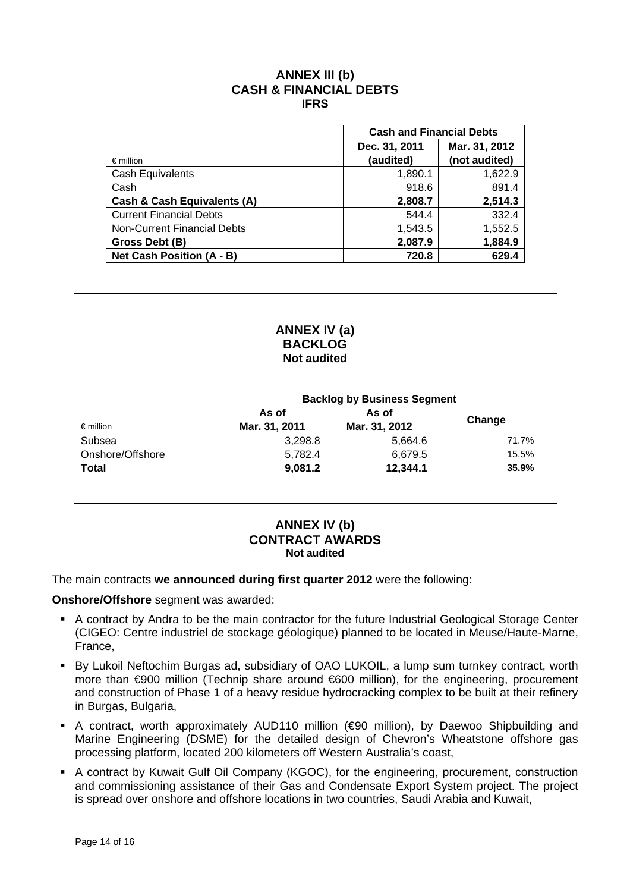#### **ANNEX III (b) CASH & FINANCIAL DEBTS IFRS**

|                                | <b>Cash and Financial Debts</b> |               |
|--------------------------------|---------------------------------|---------------|
|                                | Dec. 31, 2011                   | Mar. 31, 2012 |
| $\epsilon$ million             | (audited)                       | (not audited) |
| <b>Cash Equivalents</b>        | 1,890.1                         | 1,622.9       |
| Cash                           | 918.6                           | 891.4         |
| Cash & Cash Equivalents (A)    | 2,808.7                         | 2,514.3       |
| <b>Current Financial Debts</b> | 544.4                           | 332.4         |
| Non-Current Financial Debts    | 1,543.5                         | 1,552.5       |
| Gross Debt (B)                 | 2,087.9                         | 1,884.9       |
| Net Cash Position (A - B)      | 720.8                           | 629.4         |

#### **ANNEX IV (a) BACKLOG Not audited**

|                    | <b>Backlog by Business Segment</b> |               |        |
|--------------------|------------------------------------|---------------|--------|
|                    | As of                              | As of         | Change |
| $\epsilon$ million | Mar. 31, 2011                      | Mar. 31, 2012 |        |
| Subsea             | 3,298.8                            | 5,664.6       | 71.7%  |
| Onshore/Offshore   | 5,782.4                            | 6,679.5       | 15.5%  |
| <b>Total</b>       | 9,081.2                            | 12,344.1      | 35.9%  |

#### **ANNEX IV (b) CONTRACT AWARDS Not audited**

The main contracts **we announced during first quarter 2012** were the following:

**Onshore/Offshore** segment was awarded:

- A contract by Andra to be the main contractor for the future Industrial Geological Storage Center (CIGEO: Centre industriel de stockage géologique) planned to be located in Meuse/Haute-Marne, France,
- By Lukoil Neftochim Burgas ad, subsidiary of OAO LUKOIL, a lump sum turnkey contract, worth more than €900 million (Technip share around €600 million), for the engineering, procurement and construction of Phase 1 of a heavy residue hydrocracking complex to be built at their refinery in Burgas, Bulgaria,
- A contract, worth approximately AUD110 million ( $\infty$ 0 million), by Daewoo Shipbuilding and Marine Engineering (DSME) for the detailed design of Chevron's Wheatstone offshore gas processing platform, located 200 kilometers off Western Australia's coast,
- A contract by Kuwait Gulf Oil Company (KGOC), for the engineering, procurement, construction and commissioning assistance of their Gas and Condensate Export System project. The project is spread over onshore and offshore locations in two countries, Saudi Arabia and Kuwait,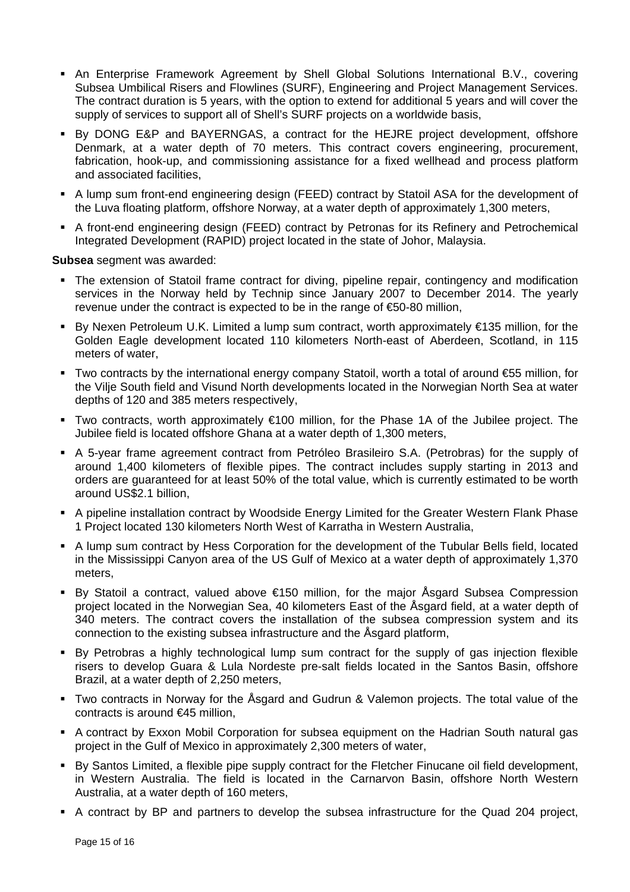- **P** An Enterprise Framework Agreement by Shell Global Solutions International B.V., covering Subsea Umbilical Risers and Flowlines (SURF), Engineering and Project Management Services. The contract duration is 5 years, with the option to extend for additional 5 years and will cover the supply of services to support all of Shell's SURF projects on a worldwide basis,
- By DONG E&P and BAYERNGAS, a contract for the HEJRE project development, offshore Denmark, at a water depth of 70 meters. This contract covers engineering, procurement, fabrication, hook-up, and commissioning assistance for a fixed wellhead and process platform and associated facilities,
- A lump sum front-end engineering design (FEED) contract by Statoil ASA for the development of the Luva floating platform, offshore Norway, at a water depth of approximately 1,300 meters,
- A front-end engineering design (FEED) contract by Petronas for its Refinery and Petrochemical Integrated Development (RAPID) project located in the state of Johor, Malaysia.

**Subsea** segment was awarded:

- The extension of Statoil frame contract for diving, pipeline repair, contingency and modification services in the Norway held by Technip since January 2007 to December 2014. The yearly revenue under the contract is expected to be in the range of €50-80 million,
- By Nexen Petroleum U.K. Limited a lump sum contract, worth approximately  $\epsilon$ 135 million, for the Golden Eagle development located 110 kilometers North-east of Aberdeen, Scotland, in 115 meters of water,
- Two contracts by the international energy company Statoil, worth a total of around €55 million, for the Vilje South field and Visund North developments located in the Norwegian North Sea at water depths of 120 and 385 meters respectively,
- Two contracts, worth approximately €100 million, for the Phase 1A of the Jubilee project. The Jubilee field is located offshore Ghana at a water depth of 1,300 meters,
- A 5-year frame agreement contract from Petróleo Brasileiro S.A. (Petrobras) for the supply of around 1,400 kilometers of flexible pipes. The contract includes supply starting in 2013 and orders are guaranteed for at least 50% of the total value, which is currently estimated to be worth around US\$2.1 billion,
- A pipeline installation contract by Woodside Energy Limited for the Greater Western Flank Phase 1 Project located 130 kilometers North West of Karratha in Western Australia,
- A lump sum contract by Hess Corporation for the development of the Tubular Bells field, located in the Mississippi Canyon area of the US Gulf of Mexico at a water depth of approximately 1,370 meters,
- By Statoil a contract, valued above €150 million, for the major Åsgard Subsea Compression project located in the Norwegian Sea, 40 kilometers East of the Åsgard field, at a water depth of 340 meters. The contract covers the installation of the subsea compression system and its connection to the existing subsea infrastructure and the Åsgard platform,
- By Petrobras a highly technological lump sum contract for the supply of gas injection flexible risers to develop Guara & Lula Nordeste pre-salt fields located in the Santos Basin, offshore Brazil, at a water depth of 2,250 meters,
- Two contracts in Norway for the Åsgard and Gudrun & Valemon projects. The total value of the contracts is around €45 million,
- A contract by Exxon Mobil Corporation for subsea equipment on the Hadrian South natural gas project in the Gulf of Mexico in approximately 2,300 meters of water,
- By Santos Limited, a flexible pipe supply contract for the Fletcher Finucane oil field development, in Western Australia. The field is located in the Carnarvon Basin, offshore North Western Australia, at a water depth of 160 meters,
- A contract by BP and partners to develop the subsea infrastructure for the Quad 204 project,